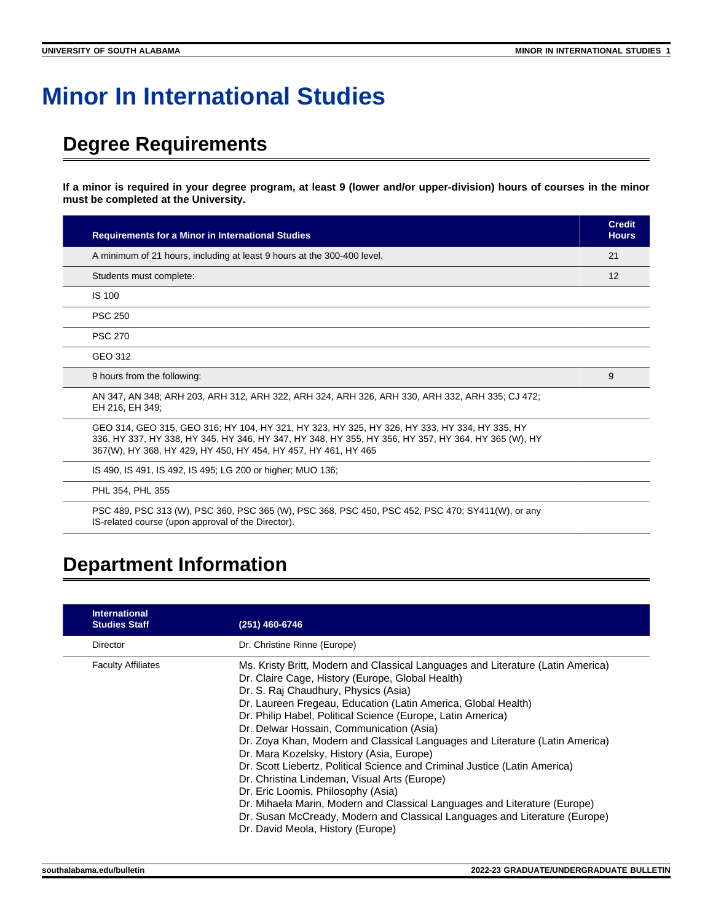## **Minor In International Studies**

## **Degree Requirements**

**If a minor is required in your degree program, at least 9 (lower and/or upper-division) hours of courses in the minor must be completed at the University.**

| <b>Requirements for a Minor in International Studies</b>                                                                                                                                                                                                               | <b>Credit</b><br><b>Hours</b> |
|------------------------------------------------------------------------------------------------------------------------------------------------------------------------------------------------------------------------------------------------------------------------|-------------------------------|
| A minimum of 21 hours, including at least 9 hours at the 300-400 level.                                                                                                                                                                                                | 21                            |
| Students must complete:                                                                                                                                                                                                                                                | 12                            |
| <b>IS 100</b>                                                                                                                                                                                                                                                          |                               |
| <b>PSC 250</b>                                                                                                                                                                                                                                                         |                               |
| <b>PSC 270</b>                                                                                                                                                                                                                                                         |                               |
| GEO 312                                                                                                                                                                                                                                                                |                               |
| 9 hours from the following:                                                                                                                                                                                                                                            | 9                             |
| AN 347, AN 348; ARH 203, ARH 312, ARH 322, ARH 324, ARH 326, ARH 330, ARH 332, ARH 335; CJ 472;<br>EH 216, EH 349;                                                                                                                                                     |                               |
| GEO 314, GEO 315, GEO 316; HY 104, HY 321, HY 323, HY 325, HY 326, HY 333, HY 334, HY 335, HY<br>336, HY 337, HY 338, HY 345, HY 346, HY 347, HY 348, HY 355, HY 356, HY 357, HY 364, HY 365 (W), HY<br>367(W), HY 368, HY 429, HY 450, HY 454, HY 457, HY 461, HY 465 |                               |
| IS 490, IS 491, IS 492, IS 495; LG 200 or higher; MUO 136;                                                                                                                                                                                                             |                               |
| PHL 354, PHL 355                                                                                                                                                                                                                                                       |                               |
| PSC 489, PSC 313 (W), PSC 360, PSC 365 (W), PSC 368, PSC 450, PSC 452, PSC 470; SY411(W), or any                                                                                                                                                                       |                               |

## **Department Information**

IS-related course (upon approval of the Director).

| <b>International</b><br><b>Studies Staff</b> | (251) 460-6746                                                                                                                                                                                                                                                                                                                                                                                                                                                                                                                                                                                                                                                                                                                                                                                                                                           |
|----------------------------------------------|----------------------------------------------------------------------------------------------------------------------------------------------------------------------------------------------------------------------------------------------------------------------------------------------------------------------------------------------------------------------------------------------------------------------------------------------------------------------------------------------------------------------------------------------------------------------------------------------------------------------------------------------------------------------------------------------------------------------------------------------------------------------------------------------------------------------------------------------------------|
| Director                                     | Dr. Christine Rinne (Europe)                                                                                                                                                                                                                                                                                                                                                                                                                                                                                                                                                                                                                                                                                                                                                                                                                             |
| <b>Faculty Affiliates</b>                    | Ms. Kristy Britt, Modern and Classical Languages and Literature (Latin America)<br>Dr. Claire Cage, History (Europe, Global Health)<br>Dr. S. Raj Chaudhury, Physics (Asia)<br>Dr. Laureen Fregeau, Education (Latin America, Global Health)<br>Dr. Philip Habel, Political Science (Europe, Latin America)<br>Dr. Delwar Hossain, Communication (Asia)<br>Dr. Zoya Khan, Modern and Classical Languages and Literature (Latin America)<br>Dr. Mara Kozelsky, History (Asia, Europe)<br>Dr. Scott Liebertz, Political Science and Criminal Justice (Latin America)<br>Dr. Christina Lindeman, Visual Arts (Europe)<br>Dr. Eric Loomis, Philosophy (Asia)<br>Dr. Mihaela Marin, Modern and Classical Languages and Literature (Europe)<br>Dr. Susan McCready, Modern and Classical Languages and Literature (Europe)<br>Dr. David Meola, History (Europe) |